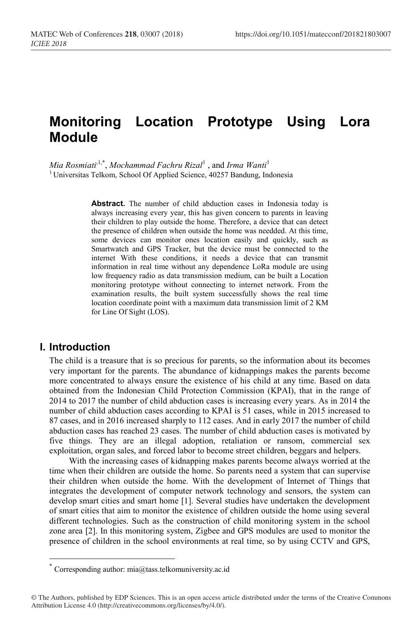# **Monitoring Location Prototype Using Lora Module**

 $M$ ia Rosmiati<sup>, 1,\*</sup>, *Mochammad Fachru Rizal<sup>1</sup>* , and *Irma Wanti<sup>1</sup>* <sup>1</sup> Universitas Telkom, School Of Applied Science, 40257 Bandung, Indonesia

> **Abstract.** The number of child abduction cases in Indonesia today is always increasing every year, this has given concern to parents in leaving their children to play outside the home. Therefore, a device that can detect the presence of children when outside the home was needded. At this time, some devices can monitor ones location easily and quickly, such as Smartwatch and GPS Tracker, but the device must be connected to the internet With these conditions, it needs a device that can transmit information in real time without any dependence LoRa module are using low frequency radio as data transmission medium, can be built a Location monitoring prototype without connecting to internet network. From the examination results, the built system successfully shows the real time location coordinate point with a maximum data transmission limit of 2 KM for Line Of Sight (LOS).

### **I. Introduction**

The child is a treasure that is so precious for parents, so the information about its becomes very important for the parents. The abundance of kidnappings makes the parents become more concentrated to always ensure the existence of his child at any time. Based on data obtained from the Indonesian Child Protection Commission (KPAI), that in the range of 2014 to 2017 the number of child abduction cases is increasing every years. As in 2014 the number of child abduction cases according to KPAI is 51 cases, while in 2015 increased to 87 cases, and in 2016 increased sharply to 112 cases. And in early 2017 the number of child abduction cases has reached 23 cases. The number of child abduction cases is motivated by five things. They are an illegal adoption, retaliation or ransom, commercial sex exploitation, organ sales, and forced labor to become street children, beggars and helpers.

With the increasing cases of kidnapping makes parents become always worried at the time when their children are outside the home. So parents need a system that can supervise their children when outside the home. With the development of Internet of Things that integrates the development of computer network technology and sensors, the system can develop smart cities and smart home [1]. Several studies have undertaken the development of smart cities that aim to monitor the existence of children outside the home using several different technologies. Such as the construction of child monitoring system in the school zone area [2]. In this monitoring system, Zigbee and GPS modules are used to monitor the presence of children in the school environments at real time, so by using CCTV and GPS,

 <sup>\*</sup> Corresponding author: mia@tass.telkomuniversity.ac.id

<sup>©</sup> The Authors, published by EDP Sciences. This is an open access article distributed under the terms of the Creative Commons Attribution License 4.0 (http://creativecommons.org/licenses/by/4.0/).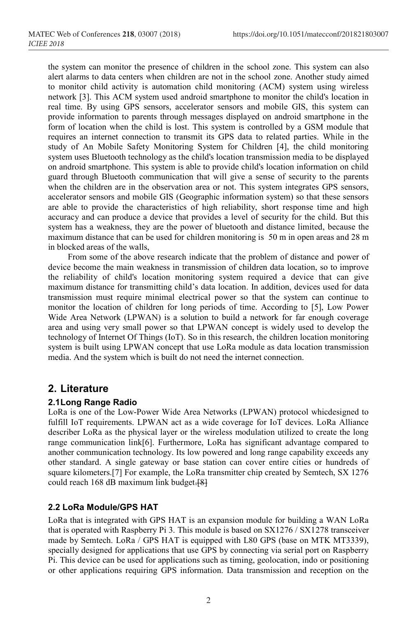the system can monitor the presence of children in the school zone. This system can also alert alarms to data centers when children are not in the school zone. Another study aimed to monitor child activity is automation child monitoring (ACM) system using wireless network [3]. This ACM system used android smartphone to monitor the child's location in real time. By using GPS sensors, accelerator sensors and mobile GIS, this system can provide information to parents through messages displayed on android smartphone in the form of location when the child is lost. This system is controlled by a GSM module that requires an internet connection to transmit its GPS data to related parties. While in the study of An Mobile Safety Monitoring System for Children [4], the child monitoring system uses Bluetooth technology as the child's location transmission media to be displayed on android smartphone. This system is able to provide child's location information on child guard through Bluetooth communication that will give a sense of security to the parents when the children are in the observation area or not. This system integrates GPS sensors, accelerator sensors and mobile GIS (Geographic information system) so that these sensors are able to provide the characteristics of high reliability, short response time and high accuracy and can produce a device that provides a level of security for the child. But this system has a weakness, they are the power of bluetooth and distance limited, because the maximum distance that can be used for children monitoring is 50 m in open areas and 28 m in blocked areas of the walls,

From some of the above research indicate that the problem of distance and power of device become the main weakness in transmission of children data location, so to improve the reliability of child's location monitoring system required a device that can give maximum distance for transmitting child's data location. In addition, devices used for data transmission must require minimal electrical power so that the system can continue to monitor the location of children for long periods of time. According to [5], Low Power Wide Area Network (LPWAN) is a solution to build a network for far enough coverage area and using very small power so that LPWAN concept is widely used to develop the technology of Internet Of Things (IoT). So in this research, the children location monitoring system is built using LPWAN concept that use LoRa module as data location transmission media. And the system which is built do not need the internet connection.

### **2. Literature**

#### **2.1Long Range Radio**

LoRa is one of the Low-Power Wide Area Networks (LPWAN) protocol whicdesigned to fulfill IoT requirements. LPWAN act as a wide coverage for IoT devices. LoRa Alliance describer LoRa as the physical layer or the wireless modulation utilized to create the long range communication link[6]. Furthermore, LoRa has significant advantage compared to another communication technology. Its low powered and long range capability exceeds any other standard. A single gateway or base station can cover entire cities or hundreds of square kilometers.[7] For example, the LoRa transmitter chip created by Semtech, SX 1276 could reach 168 dB maximum link budget.[8]

#### **2.2 LoRa Module/GPS HAT**

LoRa that is integrated with GPS HAT is an expansion module for building a WAN LoRa that is operated with Raspberry Pi 3. This module is based on SX1276 / SX1278 transceiver made by Semtech. LoRa / GPS HAT is equipped with L80 GPS (base on MTK MT3339), specially designed for applications that use GPS by connecting via serial port on Raspberry Pi. This device can be used for applications such as timing, geolocation, indo or positioning or other applications requiring GPS information. Data transmission and reception on the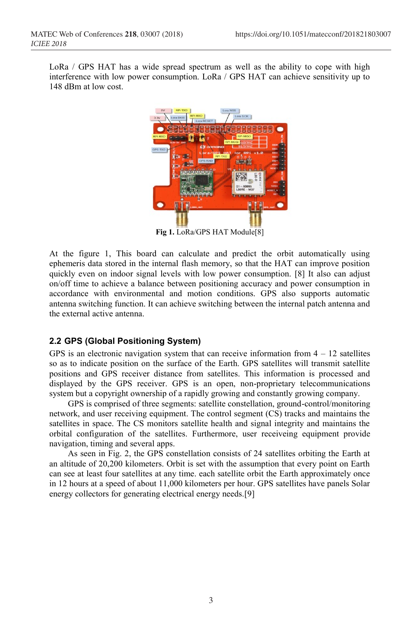LoRa / GPS HAT has a wide spread spectrum as well as the ability to cope with high interference with low power consumption. LoRa / GPS HAT can achieve sensitivity up to 148 dBm at low cost.



**Fig 1.** LoRa/GPS HAT Module[8]

At the figure 1, This board can calculate and predict the orbit automatically using ephemeris data stored in the internal flash memory, so that the HAT can improve position quickly even on indoor signal levels with low power consumption. [8] It also can adjust on/off time to achieve a balance between positioning accuracy and power consumption in accordance with environmental and motion conditions. GPS also supports automatic antenna switching function. It can achieve switching between the internal patch antenna and the external active antenna.

### **2.2 GPS (Global Positioning System)**

GPS is an electronic navigation system that can receive information from  $4 - 12$  satellites so as to indicate position on the surface of the Earth. GPS satellites will transmit satellite positions and GPS receiver distance from satellites. This information is processed and displayed by the GPS receiver. GPS is an open, non-proprietary telecommunications system but a copyright ownership of a rapidly growing and constantly growing company.

GPS is comprised of three segments: satellite constellation, ground-control/monitoring network, and user receiving equipment. The control segment (CS) tracks and maintains the satellites in space. The CS monitors satellite health and signal integrity and maintains the orbital configuration of the satellites. Furthermore, user receiveing equipment provide navigation, timing and several apps.

As seen in Fig. 2, the GPS constellation consists of 24 satellites orbiting the Earth at an altitude of 20,200 kilometers. Orbit is set with the assumption that every point on Earth can see at least four satellites at any time. each satellite orbit the Earth approximately once in 12 hours at a speed of about 11,000 kilometers per hour. GPS satellites have panels Solar energy collectors for generating electrical energy needs.[9]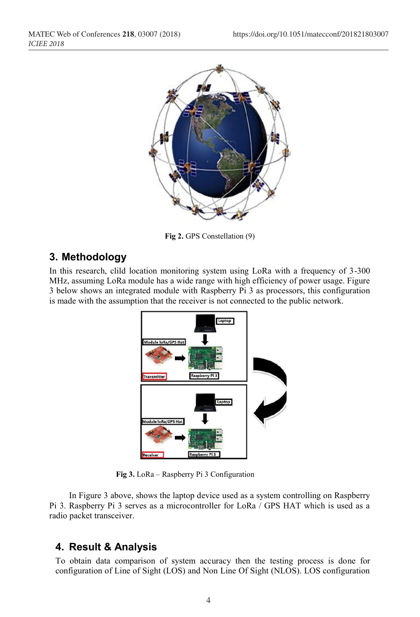

**Fig 2.** GPS Constellation (9)

# **3. Methodology**

In this research, clild location monitoring system using LoRa with a frequency of 3-300 MHz, assuming LoRa module has a wide range with high efficiency of power usage. Figure 3 below shows an integrated module with Raspberry Pi 3 as processors, this configuration is made with the assumption that the receiver is not connected to the public network.



 **Fig 3.** LoRa – Raspberry Pi 3 Configuration

In Figure 3 above, shows the laptop device used as a system controlling on Raspberry Pi 3. Raspberry Pi 3 serves as a microcontroller for LoRa / GPS HAT which is used as a radio packet transceiver.

# **4. Result & Analysis**

To obtain data comparison of system accuracy then the testing process is done for configuration of Line of Sight (LOS) and Non Line Of Sight (NLOS). LOS configuration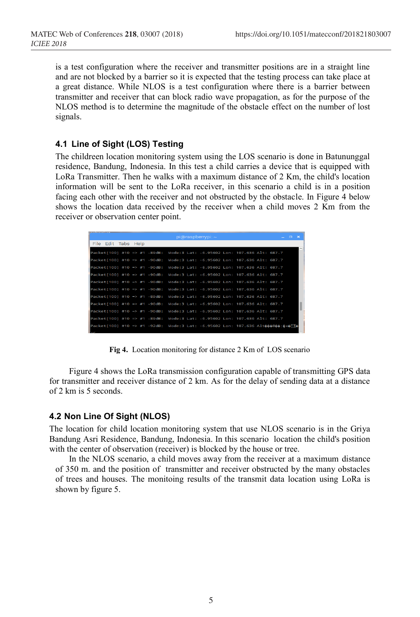is a test configuration where the receiver and transmitter positions are in a straight line and are not blocked by a barrier so it is expected that the testing process can take place at a great distance. While NLOS is a test configuration where there is a barrier between transmitter and receiver that can block radio wave propagation, as for the purpose of the NLOS method is to determine the magnitude of the obstacle effect on the number of lost signals.

#### **4.1 Line of Sight (LOS) Testing**

The childreen location monitoring system using the LOS scenario is done in Batununggal residence, Bandung, Indonesia. In this test a child carries a device that is equipped with LoRa Transmitter. Then he walks with a maximum distance of 2 Km, the child's location information will be sent to the LoRa receiver, in this scenario a child is in a position facing each other with the receiver and not obstructed by the obstacle. In Figure 4 below shows the location data received by the receiver when a child moves 2 Km from the receiver or observation center point.

|                     |  |  |  | $pi$ @raspberrypi: $\sim$                                                                         |  | ديو | $\Box$ | $\rightarrow$ |
|---------------------|--|--|--|---------------------------------------------------------------------------------------------------|--|-----|--------|---------------|
| File Edit Tabs Help |  |  |  |                                                                                                   |  |     |        |               |
|                     |  |  |  | Packet[100] #10 => #1 -89dB: Mode:3 Lat: -6.95602 Lon: 107.636 Alt: 687.7                         |  |     |        |               |
|                     |  |  |  | Packet[100] #10 => #1 -90dB: Mode:3 Lat: -6.95602 Lon: 107.636 Alt: 687.7                         |  |     |        |               |
|                     |  |  |  | Packet[100] #10 => #1 -90dB: Mode:3 Lat: -6.95602 Lon: 107.636 Alt: 687.7                         |  |     |        |               |
|                     |  |  |  | Packet[100] #10 => #1 -90dB: Mode:3 Lat: -6.95602 Lon: 107.636 Alt: 687.7                         |  |     |        |               |
|                     |  |  |  | Packet[100] #10 => #1 -90dB: Mode:3 Lat: -6.95602 Lon: 107.636 Alt: 687.7                         |  |     |        |               |
|                     |  |  |  | Packet[100] #10 => #1 -90dB: Mode:3 Lat: -6.95602 Lon: 107.636 Alt: 687.7                         |  |     |        |               |
|                     |  |  |  | Packet[100] #10 => #1 -89dB: Mode:3 Lat: -6.95602 Lon: 107.636 Alt: 687.7                         |  |     |        |               |
|                     |  |  |  | Packet[100] #10 => #1 -90dB: Mode:3 Lat: -6.95602 Lon: 107.636 Alt: 687.7                         |  |     |        |               |
|                     |  |  |  | Packet[100] #10 => #1 -90dB: Mode:3 Lat: -6.95602 Lon: 107.636 Alt: 687.7                         |  |     |        |               |
|                     |  |  |  | Packet[100] #10 => #1 -89dB: Mode:3 Lat: -6.95602 Lon: 107.636 Alt: 687.7                         |  |     |        |               |
|                     |  |  |  | Packet[100] #10 => #1 -92dB: Mode:3 Lat: -6.95602 Lon: 107.636 Alt $\phi\phi\psi\psi\psi\psi\psi$ |  |     |        |               |

**Fig 4.** Location monitoring for distance 2 Km of LOS scenario

Figure 4 shows the LoRa transmission configuration capable of transmitting GPS data for transmitter and receiver distance of 2 km. As for the delay of sending data at a distance of 2 km is 5 seconds.

#### **4.2 Non Line Of Sight (NLOS)**

The location for child location monitoring system that use NLOS scenario is in the Griya Bandung Asri Residence, Bandung, Indonesia. In this scenario location the child's position with the center of observation (receiver) is blocked by the house or tree.

In the NLOS scenario, a child moves away from the receiver at a maximum distance of 350 m. and the position of transmitter and receiver obstructed by the many obstacles of trees and houses. The monitoing results of the transmit data location using LoRa is shown by figure 5.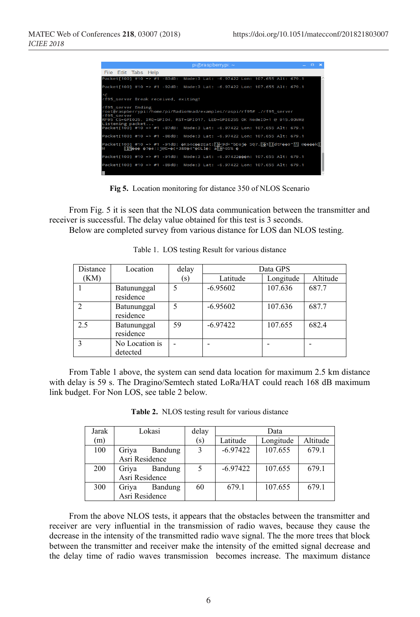| $pi$ @raspberrypi: $\sim$                                                                                                                                                                                     | $  \times$ |  |
|---------------------------------------------------------------------------------------------------------------------------------------------------------------------------------------------------------------|------------|--|
| File Edit Tabs Help                                                                                                                                                                                           |            |  |
| Packet[100] #10 => #1 -83dB: Mode:3 Lat: -6.97422 Lon: 107.655 Alt: 679.1                                                                                                                                     |            |  |
| Packet[100] #10 => #1 -92dB: Mode:3 Lat: -6.97422 Lon: 107.655 Alt: 679.1                                                                                                                                     |            |  |
| AC.<br>rf95_server Break received, exiting!                                                                                                                                                                   |            |  |
| rf95 server Ending<br>root@raspberrypi:/home/pi/RadioHead/examples/raspi/rf95# ./rf95 server<br>rf95 server<br>RF95 CS=GPI025, IR0=GPI04, RST=GPI017, LED=GPI0255 0K NodeID=1 @ 915.00MHz<br>Listening packet |            |  |
| Packet[100] #10 => #1 -87dB: Mode:3 Lat: -6.97422 Lon: 107.655 Alt: 679.1                                                                                                                                     |            |  |
| Packet[100] #10 => #1 -88dB: Mode:3 Lat: -6.97422 Lon: 107.655 Alt: 679.1                                                                                                                                     |            |  |
| Packet[100] #10 => #1 -91dB: �Ko4c��zEat:\}}<9d+"bDoj� 50?. ��1\?dtF��9"\?\ @����k<br><sup>∦</sup> ଆ∭ତତ୍ତ ତ?ତe::j@E=ତ(+3&8ତ4"ତ୍OLlତ୍: a୳⊞^65% ତ                                                               |            |  |
| Packet[100] #10 => #1 -91dB: Mode:3 Lat: -6.97422000n: 107.655 Alt: 679.1                                                                                                                                     |            |  |
| Packet[100] #10 => #1 -89dB: Mode:3 Lat: -6.97422 Lon: 107.655 Alt: 679.1                                                                                                                                     |            |  |

**Fig 5.** Location monitoring for distance 350 of NLOS Scenario

From Fig. 5 it is seen that the NLOS data communication between the transmitter and receiver is successful. The delay value obtained for this test is 3 seconds.

Below are completed survey from various distance for LOS dan NLOS testing.

| Distance | Location                   |     | Data GPS   |           |          |  |  |  |
|----------|----------------------------|-----|------------|-----------|----------|--|--|--|
| (KM)     |                            | (s) | Latitude   | Longitude | Altitude |  |  |  |
|          | Batununggal<br>residence   | 5   | $-6.95602$ | 107.636   | 687.7    |  |  |  |
|          | Batununggal<br>residence   | 5   | $-6.95602$ | 107.636   | 687.7    |  |  |  |
| 2.5      | Batununggal<br>residence   | 59  | $-6.97422$ | 107.655   | 682.4    |  |  |  |
|          | No Location is<br>detected |     |            |           |          |  |  |  |

Table 1. LOS testing Result for various distance

From Table 1 above, the system can send data location for maximum 2.5 km distance with delay is 59 s. The Dragino/Semtech stated LoRa/HAT could reach 168 dB maximum link budget. For Non LOS, see table 2 below.

**Table 2.** NLOS testing result for various distance

| Jarak | Lokasi           | delay | Data       |           |          |  |  |
|-------|------------------|-------|------------|-----------|----------|--|--|
| (m)   |                  | (s)   | Latitude   | Longitude | Altitude |  |  |
| 100   | Bandung<br>Griya | 3     | $-6.97422$ | 107.655   | 679.1    |  |  |
|       | Asri Residence   |       |            |           |          |  |  |
| 200   | Griya<br>Bandung | 5     | $-6.97422$ | 107.655   | 679.1    |  |  |
|       | Asri Residence   |       |            |           |          |  |  |
| 300   | Griya<br>Bandung | 60    | 679.1      | 107.655   | 679.1    |  |  |
|       | Asri Residence   |       |            |           |          |  |  |

From the above NLOS tests, it appears that the obstacles between the transmitter and receiver are very influential in the transmission of radio waves, because they cause the decrease in the intensity of the transmitted radio wave signal. The the more trees that block between the transmitter and receiver make the intensity of the emitted signal decrease and the delay time of radio waves transmission becomes increase. The maximum distance